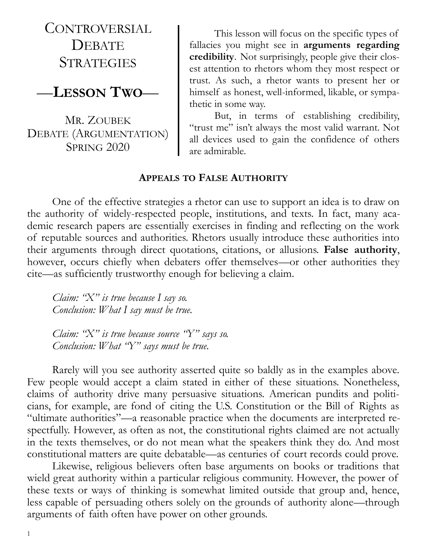CONTROVERSIAL **DEBATE STRATEGIES** 

## —**LESSON TWO**—

MR. ZOUBEK DEBATE (ARGUMENTATION) SPRING 2020

This lesson will focus on the specific types of fallacies you might see in **arguments regarding credibility**. Not surprisingly, people give their closest attention to rhetors whom they most respect or trust. As such, a rhetor wants to present her or himself as honest, well-informed, likable, or sympathetic in some way.

But, in terms of establishing credibility, "trust me" isn't always the most valid warrant. Not all devices used to gain the confidence of others are admirable.

#### **APPEALS TO FALSE AUTHORITY**

One of the effective strategies a rhetor can use to support an idea is to draw on the authority of widely-respected people, institutions, and texts. In fact, many academic research papers are essentially exercises in finding and reflecting on the work of reputable sources and authorities. Rhetors usually introduce these authorities into their arguments through direct quotations, citations, or allusions. **False authority**, however, occurs chiefly when debaters offer themselves—or other authorities they cite—as sufficiently trustworthy enough for believing a claim.

*Claim: "X" is true because I say so. Conclusion: What I say must be true.*

*Claim: "X" is true because source "Y" says so. Conclusion: What "Y" says must be true.*

Rarely will you see authority asserted quite so baldly as in the examples above. Few people would accept a claim stated in either of these situations. Nonetheless, claims of authority drive many persuasive situations. American pundits and politicians, for example, are fond of citing the U.S. Constitution or the Bill of Rights as "ultimate authorities"—a reasonable practice when the documents are interpreted respectfully. However, as often as not, the constitutional rights claimed are not actually in the texts themselves, or do not mean what the speakers think they do. And most constitutional matters are quite debatable—as centuries of court records could prove.

Likewise, religious believers often base arguments on books or traditions that wield great authority within a particular religious community. However, the power of these texts or ways of thinking is somewhat limited outside that group and, hence, less capable of persuading others solely on the grounds of authority alone—through arguments of faith often have power on other grounds.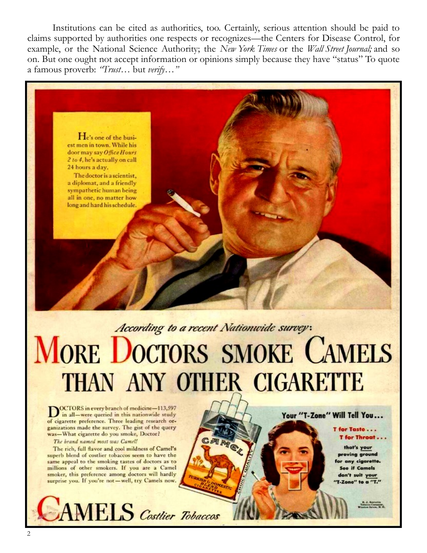Institutions can be cited as authorities, too. Certainly, serious attention should be paid to claims supported by authorities one respects or recognizes—the Centers for Disease Control, for example, or the National Science Authority; the New York Times or the Wall Street Journal; and so on. But one ought not accept information or opinions simply because they have "status" To quote a famous proverb: "Trust... but verify..."



a diplomat, and a friendly sympathetic human being all in one, no matter how long and hard his schedule.

# According to a recent Nationwide survey: **MORE DOCTORS SMOKE CAMELS** THAN ANY OTHER CIGARETTE

ARIGA

**DOCTORS** in every branch of medicine-113,597<br>in all-were queried in this nationwide study of cigarette preference. Three leading research organizations made the survey. The gist of the query was-What cigarette do you smoke, Doctor?

The brand named most was Camel!

The rich, full flavor and cool mildness of Camel's superb blend of costlier tobaccos seem to have the same appeal to the smoking tastes of doctors as to millions of other smokers. If you are a Camel smoker, this preference among doctors will hardly surprise you. If you're not-well, try Camels now.



Your "T-Zone" Will Tell You...

T for Taste... T for Throat . . .

that's your proving ground for any cigarette. **See if Camels** don't suit your T-Zone" to a "T."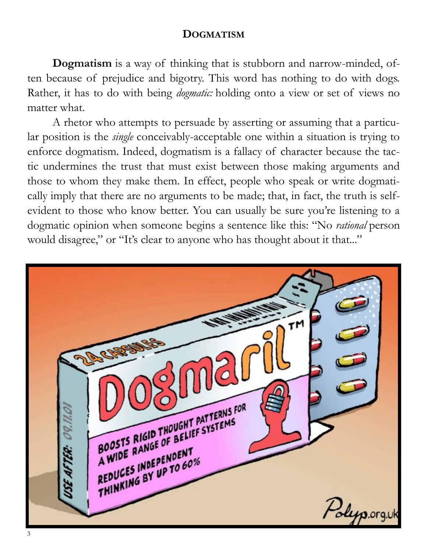### **DOGMATISM**

**Dogmatism** is a way of thinking that is stubborn and narrow-minded, often because of prejudice and bigotry. This word has nothing to do with dogs. Rather, it has to do with being *dogmatic:* holding onto a view or set of views no matter what.

A rhetor who attempts to persuade by asserting or assuming that a particular position is the *single* conceivably-acceptable one within a situation is trying to enforce dogmatism. Indeed, dogmatism is a fallacy of character because the tactic undermines the trust that must exist between those making arguments and those to whom they make them. In effect, people who speak or write dogmatically imply that there are no arguments to be made; that, in fact, the truth is selfevident to those who know better. You can usually be sure you're listening to a dogmatic opinion when someone begins a sentence like this: "No *rational* person would disagree," or "It's clear to anyone who has thought about it that..."